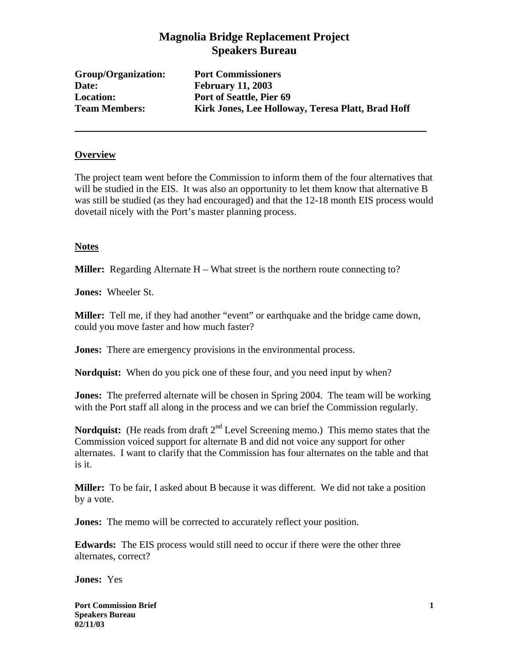# **Magnolia Bridge Replacement Project Speakers Bureau**

**Group/Organization: Port Commissioners Date: February 11, 2003** 

**Location: Port of Seattle, Pier 69 Team Members: Kirk Jones, Lee Holloway, Teresa Platt, Brad Hoff** 

#### **Overview**

The project team went before the Commission to inform them of the four alternatives that will be studied in the EIS. It was also an opportunity to let them know that alternative B was still be studied (as they had encouraged) and that the 12-18 month EIS process would dovetail nicely with the Port's master planning process.

#### **Notes**

**Miller:** Regarding Alternate H – What street is the northern route connecting to?

**Jones:** Wheeler St.

**Miller:** Tell me, if they had another "event" or earthquake and the bridge came down, could you move faster and how much faster?

**Jones:** There are emergency provisions in the environmental process.

**Nordquist:** When do you pick one of these four, and you need input by when?

**Jones:** The preferred alternate will be chosen in Spring 2004. The team will be working with the Port staff all along in the process and we can brief the Commission regularly.

**Nordquist:** (He reads from draft  $2<sup>nd</sup>$  Level Screening memo.) This memo states that the Commission voiced support for alternate B and did not voice any support for other alternates. I want to clarify that the Commission has four alternates on the table and that is it.

**Miller:** To be fair, I asked about B because it was different. We did not take a position by a vote.

**Jones:** The memo will be corrected to accurately reflect your position.

**Edwards:** The EIS process would still need to occur if there were the other three alternates, correct?

**Jones:** Yes

**Port Commission Brief 2 1 <b>1 Speakers Bureau 02/11/03**